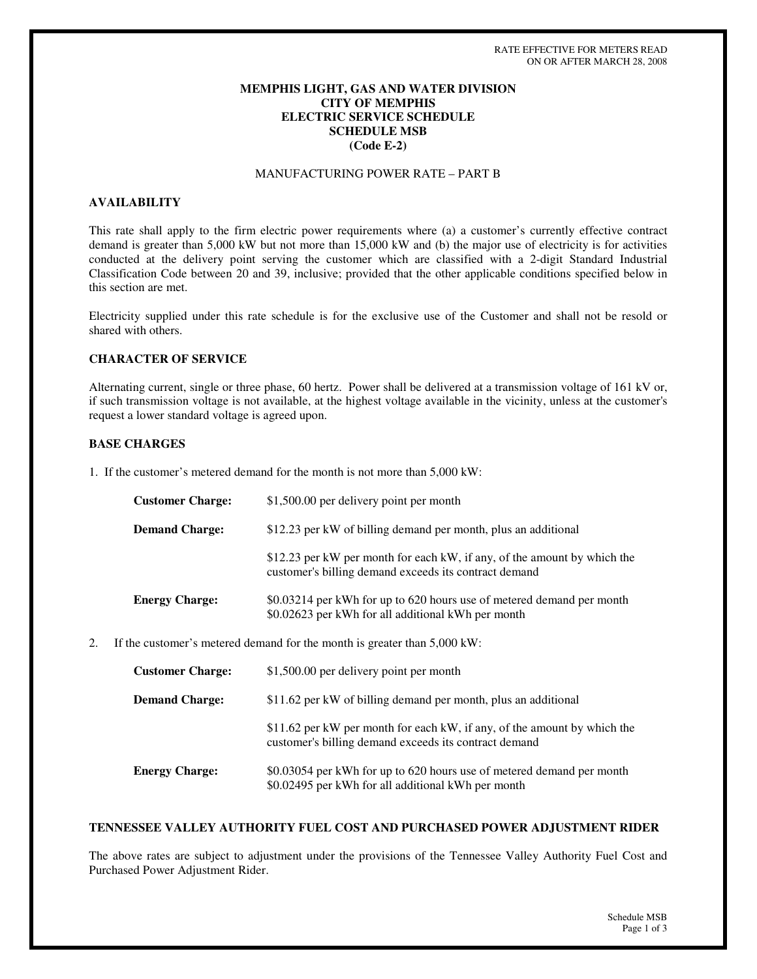### **MEMPHIS LIGHT, GAS AND WATER DIVISION CITY OF MEMPHIS ELECTRIC SERVICE SCHEDULE SCHEDULE MSB (Code E-2)**

# MANUFACTURING POWER RATE – PART B

### **AVAILABILITY**

This rate shall apply to the firm electric power requirements where (a) a customer's currently effective contract demand is greater than 5,000 kW but not more than 15,000 kW and (b) the major use of electricity is for activities conducted at the delivery point serving the customer which are classified with a 2-digit Standard Industrial Classification Code between 20 and 39, inclusive; provided that the other applicable conditions specified below in this section are met.

Electricity supplied under this rate schedule is for the exclusive use of the Customer and shall not be resold or shared with others.

### **CHARACTER OF SERVICE**

Alternating current, single or three phase, 60 hertz. Power shall be delivered at a transmission voltage of 161 kV or, if such transmission voltage is not available, at the highest voltage available in the vicinity, unless at the customer's request a lower standard voltage is agreed upon.

#### **BASE CHARGES**

1. If the customer's metered demand for the month is not more than 5,000 kW:

| <b>Customer Charge:</b> | \$1,500.00 per delivery point per month                                                                                           |
|-------------------------|-----------------------------------------------------------------------------------------------------------------------------------|
| <b>Demand Charge:</b>   | \$12.23 per kW of billing demand per month, plus an additional                                                                    |
|                         | \$12.23 per kW per month for each kW, if any, of the amount by which the<br>customer's billing demand exceeds its contract demand |
| <b>Energy Charge:</b>   | \$0.03214 per kWh for up to 620 hours use of metered demand per month<br>\$0.02623 per kWh for all additional kWh per month       |

2. If the customer's metered demand for the month is greater than 5,000 kW:

| <b>Customer Charge:</b> | \$1,500.00 per delivery point per month                                                                                           |
|-------------------------|-----------------------------------------------------------------------------------------------------------------------------------|
| <b>Demand Charge:</b>   | \$11.62 per kW of billing demand per month, plus an additional                                                                    |
|                         | \$11.62 per kW per month for each kW, if any, of the amount by which the<br>customer's billing demand exceeds its contract demand |
| <b>Energy Charge:</b>   | \$0.03054 per kWh for up to 620 hours use of metered demand per month<br>\$0.02495 per kWh for all additional kWh per month       |

#### **TENNESSEE VALLEY AUTHORITY FUEL COST AND PURCHASED POWER ADJUSTMENT RIDER**

The above rates are subject to adjustment under the provisions of the Tennessee Valley Authority Fuel Cost and Purchased Power Adjustment Rider.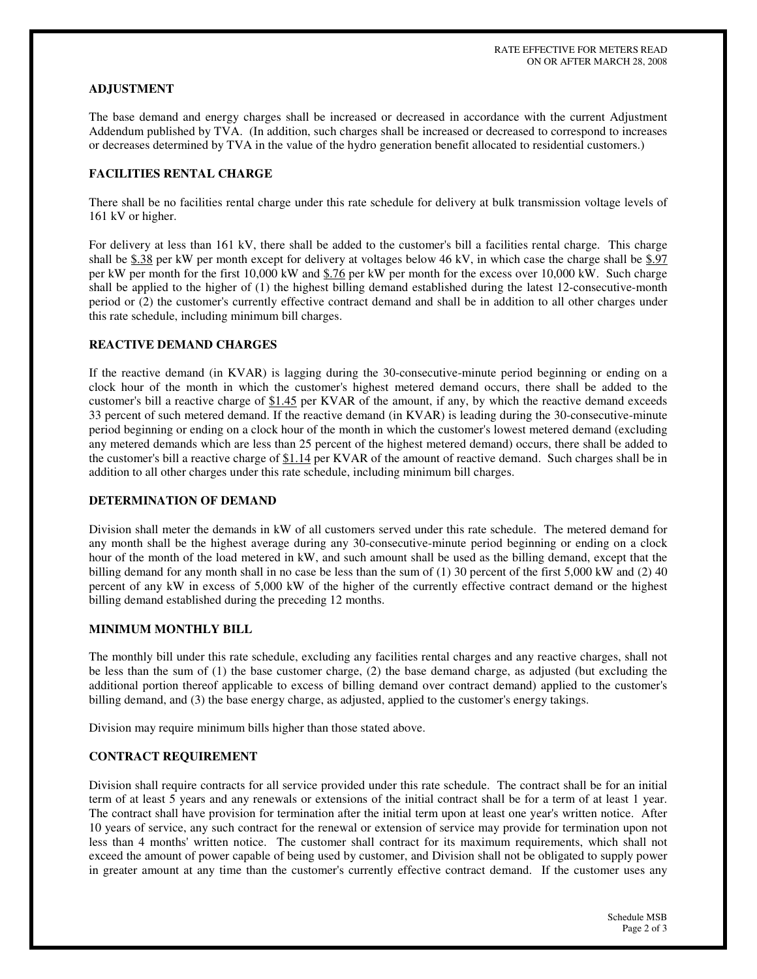### **ADJUSTMENT**

The base demand and energy charges shall be increased or decreased in accordance with the current Adjustment Addendum published by TVA. (In addition, such charges shall be increased or decreased to correspond to increases or decreases determined by TVA in the value of the hydro generation benefit allocated to residential customers.)

# **FACILITIES RENTAL CHARGE**

There shall be no facilities rental charge under this rate schedule for delivery at bulk transmission voltage levels of 161 kV or higher.

For delivery at less than 161 kV, there shall be added to the customer's bill a facilities rental charge. This charge shall be  $$.38$  per kW per month except for delivery at voltages below 46 kV, in which case the charge shall be  $$.97$ per kW per month for the first 10,000 kW and \$.76 per kW per month for the excess over 10,000 kW. Such charge shall be applied to the higher of (1) the highest billing demand established during the latest 12-consecutive-month period or (2) the customer's currently effective contract demand and shall be in addition to all other charges under this rate schedule, including minimum bill charges.

# **REACTIVE DEMAND CHARGES**

If the reactive demand (in KVAR) is lagging during the 30-consecutive-minute period beginning or ending on a clock hour of the month in which the customer's highest metered demand occurs, there shall be added to the customer's bill a reactive charge of \$1.45 per KVAR of the amount, if any, by which the reactive demand exceeds 33 percent of such metered demand. If the reactive demand (in KVAR) is leading during the 30-consecutive-minute period beginning or ending on a clock hour of the month in which the customer's lowest metered demand (excluding any metered demands which are less than 25 percent of the highest metered demand) occurs, there shall be added to the customer's bill a reactive charge of \$1.14 per KVAR of the amount of reactive demand. Such charges shall be in addition to all other charges under this rate schedule, including minimum bill charges.

### **DETERMINATION OF DEMAND**

Division shall meter the demands in kW of all customers served under this rate schedule. The metered demand for any month shall be the highest average during any 30-consecutive-minute period beginning or ending on a clock hour of the month of the load metered in kW, and such amount shall be used as the billing demand, except that the billing demand for any month shall in no case be less than the sum of (1) 30 percent of the first 5,000 kW and (2) 40 percent of any kW in excess of 5,000 kW of the higher of the currently effective contract demand or the highest billing demand established during the preceding 12 months.

#### **MINIMUM MONTHLY BILL**

The monthly bill under this rate schedule, excluding any facilities rental charges and any reactive charges, shall not be less than the sum of (1) the base customer charge, (2) the base demand charge, as adjusted (but excluding the additional portion thereof applicable to excess of billing demand over contract demand) applied to the customer's billing demand, and (3) the base energy charge, as adjusted, applied to the customer's energy takings.

Division may require minimum bills higher than those stated above.

#### **CONTRACT REQUIREMENT**

Division shall require contracts for all service provided under this rate schedule. The contract shall be for an initial term of at least 5 years and any renewals or extensions of the initial contract shall be for a term of at least 1 year. The contract shall have provision for termination after the initial term upon at least one year's written notice. After 10 years of service, any such contract for the renewal or extension of service may provide for termination upon not less than 4 months'written notice. The customer shall contract for its maximum requirements, which shall not exceed the amount of power capable of being used by customer, and Division shall not be obligated to supply power in greater amount at any time than the customer's currently effective contract demand. If the customer uses any